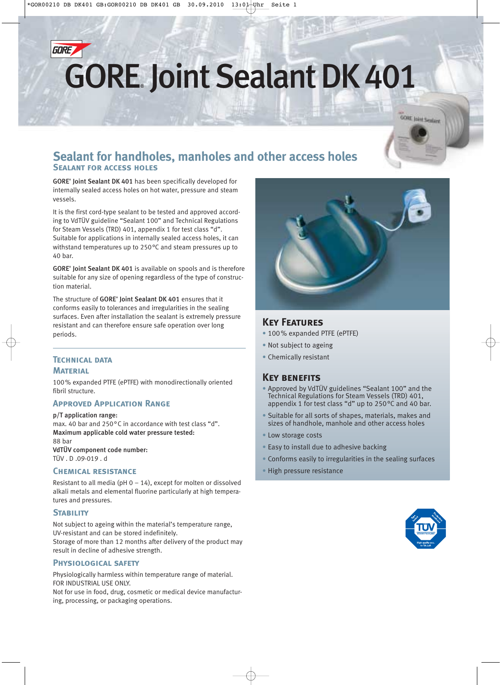

# **GORE**, Joint Sealant DK 401

**GORE Joint Seplant** 

# **Sealant for handholes, manholes and other access holes Sealant for access holes**

GORE® Joint Sealant DK 401 has been specifically developed for internally sealed access holes on hot water, pressure and steam vessels.

It is the first cord-type sealant to be tested and approved according to VdTÜV guideline "Sealant 100" and Technical Regulations for Steam Vessels (TRD) 401, appendix 1 for test class "d". Suitable for applications in internally sealed access holes, it can withstand temperatures up to 250°C and steam pressures up to  $40 \text{ har}$ 

GORE<sup>®</sup> Joint Sealant DK 401 is available on spools and is therefore suitable for any size of opening regardless of the type of construction material.

The structure of GORE<sup>®</sup> Joint Sealant DK 401 ensures that it conforms easily to tolerances and irregularities in the sealing surfaces. Even after installation the sealant is extremely pressure resistant and can therefore ensure safe operation over long periods.

# **Technical data Material**

100% expanded PTFE (ePTFE) with monodirectionally oriented fibril structure.

# **Approved Application Range**

p/T application range: max. 40 bar and 250°C in accordance with test class "d". Maximum applicable cold water pressure tested: 88 bar VdTÜV component code number: TÜV . D .09-019 . d

## **Chemical resistance**

Resistant to all media (pH  $0 - 14$ ), except for molten or dissolved alkali metals and elemental fluorine particularly at high temperatures and pressures.

#### **STABILITY**

Not subject to ageing within the material's temperature range, UV-resistant and can be stored indefinitely.

Storage of more than 12 months after delivery of the product may result in decline of adhesive strength.

#### **Physiological safety**

Physiologically harmless within temperature range of material. FOR INDUSTRIAL USE ONLY.

Not for use in food, drug, cosmetic or medical device manufacturing, processing, or packaging operations.



# **Key Features**

- 100% expanded PTFE (ePTFE)
- Not subject to ageing
- Chemically resistant

# **Key benefits**

- Approved by VdTÜV guidelines "Sealant 100" and the Technical Regulations for Steam Vessels (TRD) 401, appendix 1 for test class "d" up to 250°C and 40 bar.
- Suitable for all sorts of shapes, materials, makes and sizes of handhole, manhole and other access holes
- Low storage costs
- Easy to install due to adhesive backing
- Conforms easily to irregularities in the sealing surfaces
- High pressure resistance